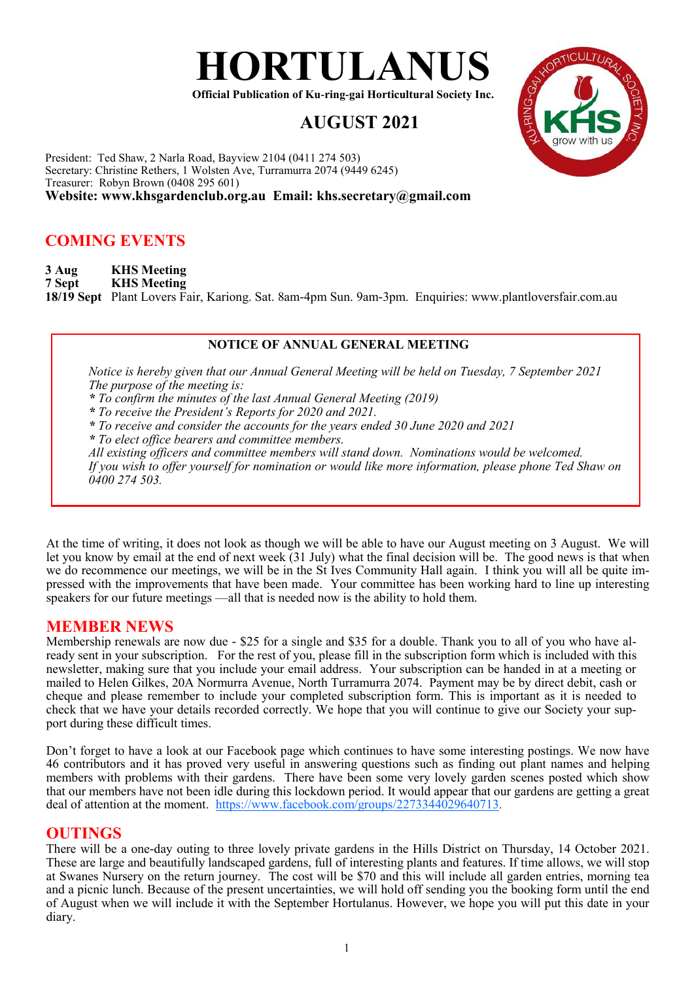

**Official Publication of Ku-ring-gai Horticultural Society Inc.**

# **AUGUST 2021**



President: Ted Shaw, 2 Narla Road, Bayview 2104 (0411 274 503) Secretary: Christine Rethers, 1 Wolsten Ave, Turramurra 2074 (9449 6245) Treasurer: Robyn Brown (0408 295 601) **Website: www.khsgardenclub.org.au Email: khs.secretary@gmail.com**

## **COMING EVENTS**

**3 Aug KHS Meeting**

**7 Sept KHS Meeting**

**18/19 Sept** Plant Lovers Fair, Kariong. Sat. 8am-4pm Sun. 9am-3pm. Enquiries: www.plantloversfair.com.au

#### **NOTICE OF ANNUAL GENERAL MEETING**

*Notice is hereby given that our Annual General Meeting will be held on Tuesday, 7 September 2021 The purpose of the meeting is:*

*\* To confirm the minutes of the last Annual General Meeting (2019)*

*\* To receive the President's Reports for 2020 and 2021.*

*\* To receive and consider the accounts for the years ended 30 June 2020 and 2021*

*\* To elect office bearers and committee members.* 

*All existing officers and committee members will stand down. Nominations would be welcomed. If you wish to offer yourself for nomination or would like more information, please phone Ted Shaw on 0400 274 503.*

At the time of writing, it does not look as though we will be able to have our August meeting on 3 August. We will let you know by email at the end of next week  $\overline{(31 \text{ July})}$  what the final decision will be. The good news is that when we do recommence our meetings, we will be in the St Ives Community Hall again. I think you will all be quite impressed with the improvements that have been made. Your committee has been working hard to line up interesting speakers for our future meetings —all that is needed now is the ability to hold them.

#### **MEMBER NEWS**

Membership renewals are now due - \$25 for a single and \$35 for a double. Thank you to all of you who have already sent in your subscription. For the rest of you, please fill in the subscription form which is included with this newsletter, making sure that you include your email address. Your subscription can be handed in at a meeting or mailed to Helen Gilkes, 20A Normurra Avenue, North Turramurra 2074. Payment may be by direct debit, cash or cheque and please remember to include your completed subscription form. This is important as it is needed to check that we have your details recorded correctly. We hope that you will continue to give our Society your support during these difficult times.

Don't forget to have a look at our Facebook page which continues to have some interesting postings. We now have 46 contributors and it has proved very useful in answering questions such as finding out plant names and helping members with problems with their gardens. There have been some very lovely garden scenes posted which show that our members have not been idle during this lockdown period. It would appear that our gardens are getting a great deal of attention at the moment. <https://www.facebook.com/groups/2273344029640713>.

#### **OUTINGS**

There will be a one-day outing to three lovely private gardens in the Hills District on Thursday, 14 October 2021. These are large and beautifully landscaped gardens, full of interesting plants and features. If time allows, we will stop at Swanes Nursery on the return journey. The cost will be \$70 and this will include all garden entries, morning tea and a picnic lunch. Because of the present uncertainties, we will hold off sending you the booking form until the end of August when we will include it with the September Hortulanus. However, we hope you will put this date in your diary.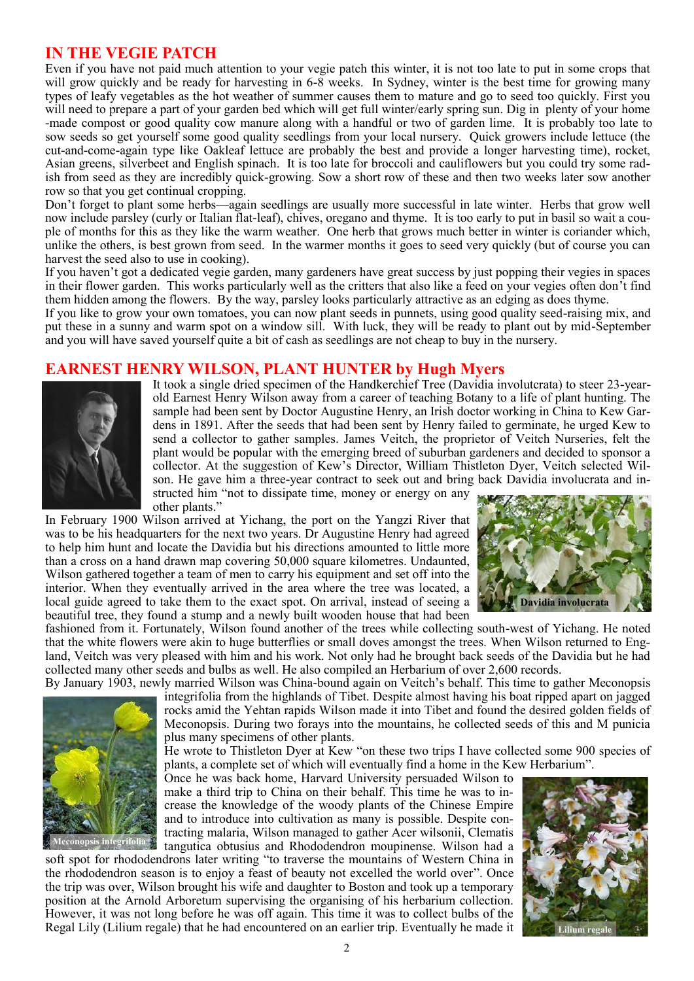### **IN THE VEGIE PATCH**

Even if you have not paid much attention to your vegie patch this winter, it is not too late to put in some crops that will grow quickly and be ready for harvesting in 6-8 weeks. In Sydney, winter is the best time for growing many types of leafy vegetables as the hot weather of summer causes them to mature and go to seed too quickly. First you will need to prepare a part of your garden bed which will get full winter/early spring sun. Dig in plenty of your home -made compost or good quality cow manure along with a handful or two of garden lime. It is probably too late to sow seeds so get yourself some good quality seedlings from your local nursery. Quick growers include lettuce (the cut-and-come-again type like Oakleaf lettuce are probably the best and provide a longer harvesting time), rocket, Asian greens, silverbeet and English spinach. It is too late for broccoli and cauliflowers but you could try some radish from seed as they are incredibly quick-growing. Sow a short row of these and then two weeks later sow another row so that you get continual cropping.

Don't forget to plant some herbs—again seedlings are usually more successful in late winter. Herbs that grow well now include parsley (curly or Italian flat-leaf), chives, oregano and thyme. It is too early to put in basil so wait a couple of months for this as they like the warm weather. One herb that grows much better in winter is coriander which, unlike the others, is best grown from seed. In the warmer months it goes to seed very quickly (but of course you can harvest the seed also to use in cooking).

If you haven't got a dedicated vegie garden, many gardeners have great success by just popping their vegies in spaces in their flower garden. This works particularly well as the critters that also like a feed on your vegies often don't find them hidden among the flowers. By the way, parsley looks particularly attractive as an edging as does thyme.

If you like to grow your own tomatoes, you can now plant seeds in punnets, using good quality seed-raising mix, and put these in a sunny and warm spot on a window sill. With luck, they will be ready to plant out by mid-September and you will have saved yourself quite a bit of cash as seedlings are not cheap to buy in the nursery.

#### **EARNEST HENRY WILSON, PLANT HUNTER by Hugh Myers**



**conopsis integrif** 

It took a single dried specimen of the Handkerchief Tree (Davidia involutcrata) to steer 23-yearold Earnest Henry Wilson away from a career of teaching Botany to a life of plant hunting. The sample had been sent by Doctor Augustine Henry, an Irish doctor working in China to Kew Gardens in 1891. After the seeds that had been sent by Henry failed to germinate, he urged Kew to send a collector to gather samples. James Veitch, the proprietor of Veitch Nurseries, felt the plant would be popular with the emerging breed of suburban gardeners and decided to sponsor a collector. At the suggestion of Kew's Director, William Thistleton Dyer, Veitch selected Wilson. He gave him a three-year contract to seek out and bring back Davidia involucrata and instructed him "not to dissipate time, money or energy on any other plants."

In February 1900 Wilson arrived at Yichang, the port on the Yangzi River that was to be his headquarters for the next two years. Dr Augustine Henry had agreed to help him hunt and locate the Davidia but his directions amounted to little more than a cross on a hand drawn map covering 50,000 square kilometres. Undaunted, Wilson gathered together a team of men to carry his equipment and set off into the interior. When they eventually arrived in the area where the tree was located, a local guide agreed to take them to the exact spot. On arrival, instead of seeing a beautiful tree, they found a stump and a newly built wooden house that had been



fashioned from it. Fortunately, Wilson found another of the trees while collecting south-west of Yichang. He noted that the white flowers were akin to huge butterflies or small doves amongst the trees. When Wilson returned to England, Veitch was very pleased with him and his work. Not only had he brought back seeds of the Davidia but he had collected many other seeds and bulbs as well. He also compiled an Herbarium of over 2,600 records.

By January 1903, newly married Wilson was China-bound again on Veitch's behalf. This time to gather Meconopsis integrifolia from the highlands of Tibet. Despite almost having his boat ripped apart on jagged rocks amid the Yehtan rapids Wilson made it into Tibet and found the desired golden fields of Meconopsis. During two forays into the mountains, he collected seeds of this and M punicia plus many specimens of other plants.

He wrote to Thistleton Dyer at Kew "on these two trips I have collected some 900 species of plants, a complete set of which will eventually find a home in the Kew Herbarium".

Once he was back home, Harvard University persuaded Wilson to make a third trip to China on their behalf. This time he was to increase the knowledge of the woody plants of the Chinese Empire and to introduce into cultivation as many is possible. Despite contracting malaria, Wilson managed to gather Acer wilsonii, Clematis tangutica obtusius and Rhododendron moupinense. Wilson had a

soft spot for rhododendrons later writing "to traverse the mountains of Western China in the rhododendron season is to enjoy a feast of beauty not excelled the world over". Once the trip was over, Wilson brought his wife and daughter to Boston and took up a temporary position at the Arnold Arboretum supervising the organising of his herbarium collection. However, it was not long before he was off again. This time it was to collect bulbs of the Regal Lily (Lilium regale) that he had encountered on an earlier trip. Eventually he made it

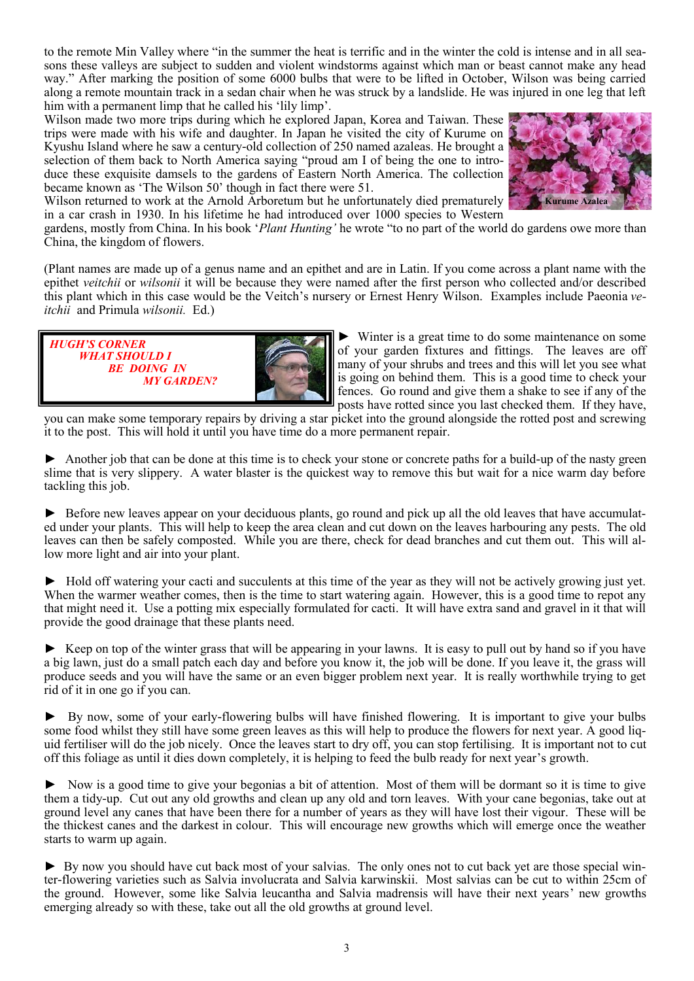to the remote Min Valley where "in the summer the heat is terrific and in the winter the cold is intense and in all seasons these valleys are subject to sudden and violent windstorms against which man or beast cannot make any head way." After marking the position of some 6000 bulbs that were to be lifted in October, Wilson was being carried along a remote mountain track in a sedan chair when he was struck by a landslide. He was injured in one leg that left him with a permanent limp that he called his 'lily limp'.

Wilson made two more trips during which he explored Japan, Korea and Taiwan. These trips were made with his wife and daughter. In Japan he visited the city of Kurume on Kyushu Island where he saw a century-old collection of 250 named azaleas. He brought a selection of them back to North America saying "proud am I of being the one to introduce these exquisite damsels to the gardens of Eastern North America. The collection became known as 'The Wilson 50' though in fact there were 51.



Wilson returned to work at the Arnold Arboretum but he unfortunately died prematurely in a car crash in 1930. In his lifetime he had introduced over 1000 species to Western

gardens, mostly from China. In his book '*Plant Hunting'* he wrote "to no part of the world do gardens owe more than China, the kingdom of flowers.

(Plant names are made up of a genus name and an epithet and are in Latin. If you come across a plant name with the epithet *veitchii* or *wilsonii* it will be because they were named after the first person who collected and/or described this plant which in this case would be the Veitch's nursery or Ernest Henry Wilson. Examples include Paeonia *veitchii* and Primula *wilsonii.* Ed.)



► Winter is a great time to do some maintenance on some of your garden fixtures and fittings. The leaves are off many of your shrubs and trees and this will let you see what is going on behind them. This is a good time to check your fences. Go round and give them a shake to see if any of the posts have rotted since you last checked them. If they have,

you can make some temporary repairs by driving a star picket into the ground alongside the rotted post and screwing it to the post. This will hold it until you have time do a more permanent repair.

► Another job that can be done at this time is to check your stone or concrete paths for a build-up of the nasty green slime that is very slippery. A water blaster is the quickest way to remove this but wait for a nice warm day before tackling this job.

► Before new leaves appear on your deciduous plants, go round and pick up all the old leaves that have accumulated under your plants. This will help to keep the area clean and cut down on the leaves harbouring any pests. The old leaves can then be safely composted. While you are there, check for dead branches and cut them out. This will allow more light and air into your plant.

► Hold off watering your cacti and succulents at this time of the year as they will not be actively growing just yet. When the warmer weather comes, then is the time to start watering again. However, this is a good time to repot any that might need it. Use a potting mix especially formulated for cacti. It will have extra sand and gravel in it that will provide the good drainage that these plants need.

**►** Keep on top of the winter grass that will be appearing in your lawns. It is easy to pull out by hand so if you have a big lawn, just do a small patch each day and before you know it, the job will be done. If you leave it, the grass will produce seeds and you will have the same or an even bigger problem next year. It is really worthwhile trying to get rid of it in one go if you can.

By now, some of your early-flowering bulbs will have finished flowering. It is important to give your bulbs some food whilst they still have some green leaves as this will help to produce the flowers for next year. A good liquid fertiliser will do the job nicely. Once the leaves start to dry off, you can stop fertilising. It is important not to cut off this foliage as until it dies down completely, it is helping to feed the bulb ready for next year's growth.

► Now is a good time to give your begonias a bit of attention. Most of them will be dormant so it is time to give them a tidy-up. Cut out any old growths and clean up any old and torn leaves. With your cane begonias, take out at ground level any canes that have been there for a number of years as they will have lost their vigour. These will be the thickest canes and the darkest in colour. This will encourage new growths which will emerge once the weather starts to warm up again.

► By now you should have cut back most of your salvias. The only ones not to cut back yet are those special winter-flowering varieties such as Salvia involucrata and Salvia karwinskii. Most salvias can be cut to within 25cm of the ground. However, some like Salvia leucantha and Salvia madrensis will have their next years' new growths emerging already so with these, take out all the old growths at ground level.